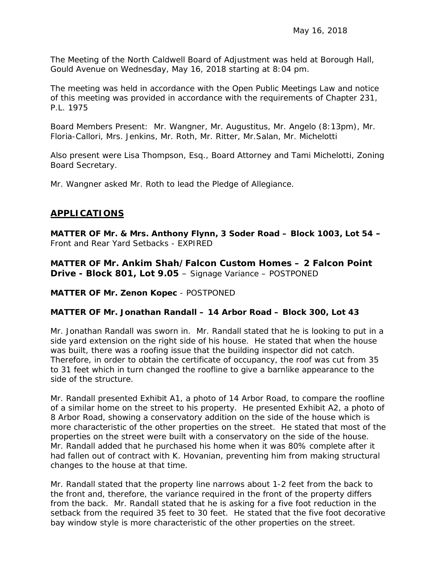The Meeting of the North Caldwell Board of Adjustment was held at Borough Hall, Gould Avenue on Wednesday, May 16, 2018 starting at 8:04 pm.

The meeting was held in accordance with the Open Public Meetings Law and notice of this meeting was provided in accordance with the requirements of Chapter 231, P.L. 1975

Board Members Present: Mr. Wangner, Mr. Augustitus, Mr. Angelo (8:13pm), Mr. Floria-Callori, Mrs. Jenkins, Mr. Roth, Mr. Ritter, Mr.Salan, Mr. Michelotti

Also present were Lisa Thompson, Esq., Board Attorney and Tami Michelotti, Zoning Board Secretary.

Mr. Wangner asked Mr. Roth to lead the Pledge of Allegiance.

## **APPLICATIONS**

**MATTER OF Mr. & Mrs. Anthony Flynn, 3 Soder Road – Block 1003, Lot 54 –** Front and Rear Yard Setbacks - EXPIRED

**MATTER OF Mr. Ankim Shah/Falcon Custom Homes – 2 Falcon Point Drive - Block 801, Lot 9.05** – Signage Variance – POSTPONED

**MATTER OF Mr. Zenon Kopec** - POSTPONED

### **MATTER OF Mr. Jonathan Randall – 14 Arbor Road – Block 300, Lot 43**

Mr. Jonathan Randall was sworn in. Mr. Randall stated that he is looking to put in a side yard extension on the right side of his house. He stated that when the house was built, there was a roofing issue that the building inspector did not catch. Therefore, in order to obtain the certificate of occupancy, the roof was cut from 35 to 31 feet which in turn changed the roofline to give a barnlike appearance to the side of the structure.

Mr. Randall presented Exhibit A1, a photo of 14 Arbor Road, to compare the roofline of a similar home on the street to his property. He presented Exhibit A2, a photo of 8 Arbor Road, showing a conservatory addition on the side of the house which is more characteristic of the other properties on the street. He stated that most of the properties on the street were built with a conservatory on the side of the house. Mr. Randall added that he purchased his home when it was 80% complete after it had fallen out of contract with K. Hovanian, preventing him from making structural changes to the house at that time.

Mr. Randall stated that the property line narrows about 1-2 feet from the back to the front and, therefore, the variance required in the front of the property differs from the back. Mr. Randall stated that he is asking for a five foot reduction in the setback from the required 35 feet to 30 feet. He stated that the five foot decorative bay window style is more characteristic of the other properties on the street.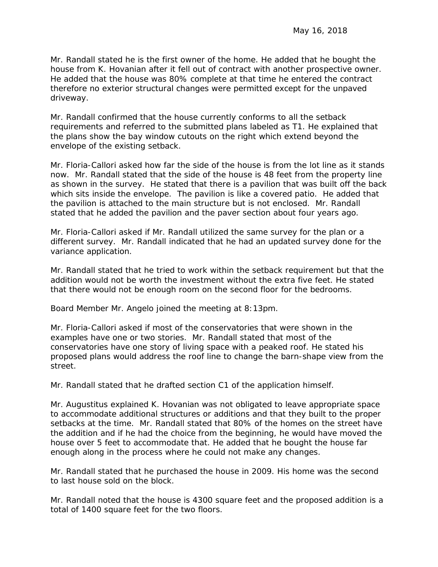Mr. Randall stated he is the first owner of the home. He added that he bought the house from K. Hovanian after it fell out of contract with another prospective owner. He added that the house was 80% complete at that time he entered the contract therefore no exterior structural changes were permitted except for the unpaved driveway.

Mr. Randall confirmed that the house currently conforms to all the setback requirements and referred to the submitted plans labeled as T1. He explained that the plans show the bay window cutouts on the right which extend beyond the envelope of the existing setback.

Mr. Floria-Callori asked how far the side of the house is from the lot line as it stands now. Mr. Randall stated that the side of the house is 48 feet from the property line as shown in the survey. He stated that there is a pavilion that was built off the back which sits inside the envelope. The pavilion is like a covered patio. He added that the pavilion is attached to the main structure but is not enclosed. Mr. Randall stated that he added the pavilion and the paver section about four years ago.

Mr. Floria-Callori asked if Mr. Randall utilized the same survey for the plan or a different survey. Mr. Randall indicated that he had an updated survey done for the variance application.

Mr. Randall stated that he tried to work within the setback requirement but that the addition would not be worth the investment without the extra five feet. He stated that there would not be enough room on the second floor for the bedrooms.

Board Member Mr. Angelo joined the meeting at 8:13pm.

Mr. Floria-Callori asked if most of the conservatories that were shown in the examples have one or two stories. Mr. Randall stated that most of the conservatories have one story of living space with a peaked roof. He stated his proposed plans would address the roof line to change the barn-shape view from the street.

Mr. Randall stated that he drafted section C1 of the application himself.

Mr. Augustitus explained K. Hovanian was not obligated to leave appropriate space to accommodate additional structures or additions and that they built to the proper setbacks at the time. Mr. Randall stated that 80% of the homes on the street have the addition and if he had the choice from the beginning, he would have moved the house over 5 feet to accommodate that. He added that he bought the house far enough along in the process where he could not make any changes.

Mr. Randall stated that he purchased the house in 2009. His home was the second to last house sold on the block.

Mr. Randall noted that the house is 4300 square feet and the proposed addition is a total of 1400 square feet for the two floors.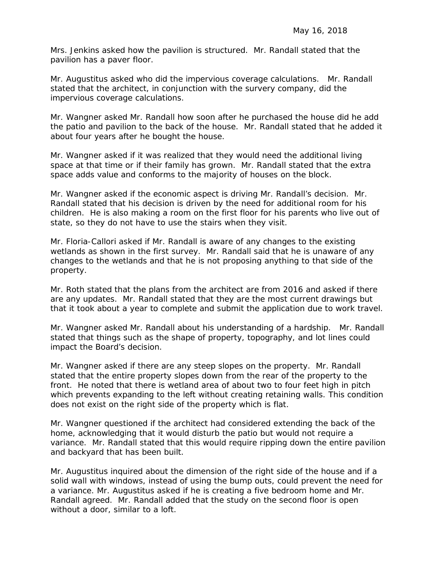Mrs. Jenkins asked how the pavilion is structured. Mr. Randall stated that the pavilion has a paver floor.

Mr. Augustitus asked who did the impervious coverage calculations. Mr. Randall stated that the architect, in conjunction with the survery company, did the impervious coverage calculations.

Mr. Wangner asked Mr. Randall how soon after he purchased the house did he add the patio and pavilion to the back of the house. Mr. Randall stated that he added it about four years after he bought the house.

Mr. Wangner asked if it was realized that they would need the additional living space at that time or if their family has grown. Mr. Randall stated that the extra space adds value and conforms to the majority of houses on the block.

Mr. Wangner asked if the economic aspect is driving Mr. Randall's decision. Mr. Randall stated that his decision is driven by the need for additional room for his children. He is also making a room on the first floor for his parents who live out of state, so they do not have to use the stairs when they visit.

Mr. Floria-Callori asked if Mr. Randall is aware of any changes to the existing wetlands as shown in the first survey. Mr. Randall said that he is unaware of any changes to the wetlands and that he is not proposing anything to that side of the property.

Mr. Roth stated that the plans from the architect are from 2016 and asked if there are any updates. Mr. Randall stated that they are the most current drawings but that it took about a year to complete and submit the application due to work travel.

Mr. Wangner asked Mr. Randall about his understanding of a hardship. Mr. Randall stated that things such as the shape of property, topography, and lot lines could impact the Board's decision.

Mr. Wangner asked if there are any steep slopes on the property. Mr. Randall stated that the entire property slopes down from the rear of the property to the front. He noted that there is wetland area of about two to four feet high in pitch which prevents expanding to the left without creating retaining walls. This condition does not exist on the right side of the property which is flat.

Mr. Wangner questioned if the architect had considered extending the back of the home, acknowledging that it would disturb the patio but would not require a variance. Mr. Randall stated that this would require ripping down the entire pavilion and backyard that has been built.

Mr. Augustitus inquired about the dimension of the right side of the house and if a solid wall with windows, instead of using the bump outs, could prevent the need for a variance. Mr. Augustitus asked if he is creating a five bedroom home and Mr. Randall agreed. Mr. Randall added that the study on the second floor is open without a door, similar to a loft.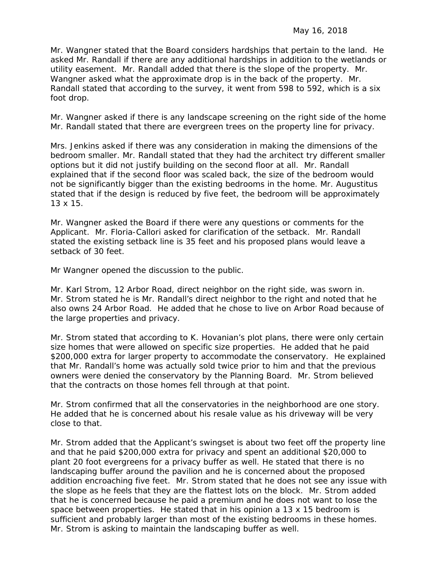Mr. Wangner stated that the Board considers hardships that pertain to the land. He asked Mr. Randall if there are any additional hardships in addition to the wetlands or utility easement. Mr. Randall added that there is the slope of the property. Mr. Wangner asked what the approximate drop is in the back of the property. Mr. Randall stated that according to the survey, it went from 598 to 592, which is a six foot drop.

Mr. Wangner asked if there is any landscape screening on the right side of the home Mr. Randall stated that there are evergreen trees on the property line for privacy.

Mrs. Jenkins asked if there was any consideration in making the dimensions of the bedroom smaller. Mr. Randall stated that they had the architect try different smaller options but it did not justify building on the second floor at all. Mr. Randall explained that if the second floor was scaled back, the size of the bedroom would not be significantly bigger than the existing bedrooms in the home. Mr. Augustitus stated that if the design is reduced by five feet, the bedroom will be approximately 13 x 15.

Mr. Wangner asked the Board if there were any questions or comments for the Applicant. Mr. Floria-Callori asked for clarification of the setback. Mr. Randall stated the existing setback line is 35 feet and his proposed plans would leave a setback of 30 feet.

Mr Wangner opened the discussion to the public.

Mr. Karl Strom, 12 Arbor Road, direct neighbor on the right side, was sworn in. Mr. Strom stated he is Mr. Randall's direct neighbor to the right and noted that he also owns 24 Arbor Road. He added that he chose to live on Arbor Road because of the large properties and privacy.

Mr. Strom stated that according to K. Hovanian's plot plans, there were only certain size homes that were allowed on specific size properties. He added that he paid \$200,000 extra for larger property to accommodate the conservatory. He explained that Mr. Randall's home was actually sold twice prior to him and that the previous owners were denied the conservatory by the Planning Board. Mr. Strom believed that the contracts on those homes fell through at that point.

Mr. Strom confirmed that all the conservatories in the neighborhood are one story. He added that he is concerned about his resale value as his driveway will be very close to that.

Mr. Strom added that the Applicant's swingset is about two feet off the property line and that he paid \$200,000 extra for privacy and spent an additional \$20,000 to plant 20 foot evergreens for a privacy buffer as well. He stated that there is no landscaping buffer around the pavilion and he is concerned about the proposed addition encroaching five feet. Mr. Strom stated that he does not see any issue with the slope as he feels that they are the flattest lots on the block. Mr. Strom added that he is concerned because he paid a premium and he does not want to lose the space between properties. He stated that in his opinion a 13 x 15 bedroom is sufficient and probably larger than most of the existing bedrooms in these homes. Mr. Strom is asking to maintain the landscaping buffer as well.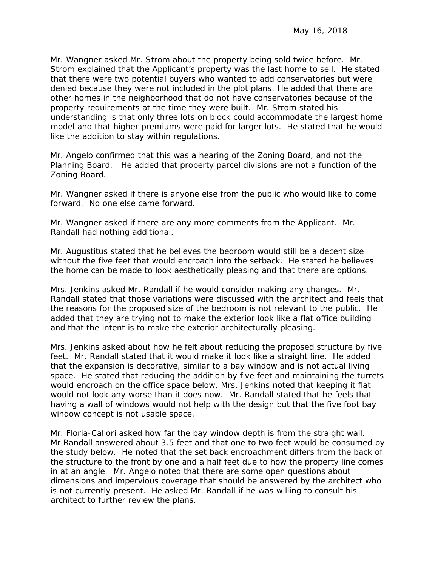Mr. Wangner asked Mr. Strom about the property being sold twice before. Mr. Strom explained that the Applicant's property was the last home to sell. He stated that there were two potential buyers who wanted to add conservatories but were denied because they were not included in the plot plans. He added that there are other homes in the neighborhood that do not have conservatories because of the property requirements at the time they were built. Mr. Strom stated his understanding is that only three lots on block could accommodate the largest home model and that higher premiums were paid for larger lots. He stated that he would like the addition to stay within regulations.

Mr. Angelo confirmed that this was a hearing of the Zoning Board, and not the Planning Board. He added that property parcel divisions are not a function of the Zoning Board.

Mr. Wangner asked if there is anyone else from the public who would like to come forward. No one else came forward.

Mr. Wangner asked if there are any more comments from the Applicant. Mr. Randall had nothing additional.

Mr. Augustitus stated that he believes the bedroom would still be a decent size without the five feet that would encroach into the setback. He stated he believes the home can be made to look aesthetically pleasing and that there are options.

Mrs. Jenkins asked Mr. Randall if he would consider making any changes. Mr. Randall stated that those variations were discussed with the architect and feels that the reasons for the proposed size of the bedroom is not relevant to the public. He added that they are trying not to make the exterior look like a flat office building and that the intent is to make the exterior architecturally pleasing.

Mrs. Jenkins asked about how he felt about reducing the proposed structure by five feet. Mr. Randall stated that it would make it look like a straight line. He added that the expansion is decorative, similar to a bay window and is not actual living space. He stated that reducing the addition by five feet and maintaining the turrets would encroach on the office space below. Mrs. Jenkins noted that keeping it flat would not look any worse than it does now. Mr. Randall stated that he feels that having a wall of windows would not help with the design but that the five foot bay window concept is not usable space.

Mr. Floria-Callori asked how far the bay window depth is from the straight wall. Mr Randall answered about 3.5 feet and that one to two feet would be consumed by the study below. He noted that the set back encroachment differs from the back of the structure to the front by one and a half feet due to how the property line comes in at an angle. Mr. Angelo noted that there are some open questions about dimensions and impervious coverage that should be answered by the architect who is not currently present. He asked Mr. Randall if he was willing to consult his architect to further review the plans.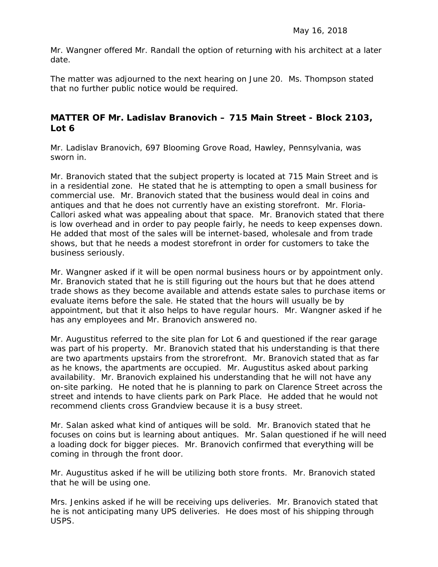Mr. Wangner offered Mr. Randall the option of returning with his architect at a later date.

The matter was adjourned to the next hearing on June 20. Ms. Thompson stated that no further public notice would be required.

## **MATTER OF Mr. Ladislav Branovich – 715 Main Street - Block 2103, Lot 6**

Mr. Ladislav Branovich, 697 Blooming Grove Road, Hawley, Pennsylvania, was sworn in.

Mr. Branovich stated that the subject property is located at 715 Main Street and is in a residential zone. He stated that he is attempting to open a small business for commercial use. Mr. Branovich stated that the business would deal in coins and antiques and that he does not currently have an existing storefront. Mr. Floria-Callori asked what was appealing about that space. Mr. Branovich stated that there is low overhead and in order to pay people fairly, he needs to keep expenses down. He added that most of the sales will be internet-based, wholesale and from trade shows, but that he needs a modest storefront in order for customers to take the business seriously.

Mr. Wangner asked if it will be open normal business hours or by appointment only. Mr. Branovich stated that he is still figuring out the hours but that he does attend trade shows as they become available and attends estate sales to purchase items or evaluate items before the sale. He stated that the hours will usually be by appointment, but that it also helps to have regular hours. Mr. Wangner asked if he has any employees and Mr. Branovich answered no.

Mr. Augustitus referred to the site plan for Lot 6 and questioned if the rear garage was part of his property. Mr. Branovich stated that his understanding is that there are two apartments upstairs from the strorefront. Mr. Branovich stated that as far as he knows, the apartments are occupied. Mr. Augustitus asked about parking availability. Mr. Branovich explained his understanding that he will not have any on-site parking. He noted that he is planning to park on Clarence Street across the street and intends to have clients park on Park Place. He added that he would not recommend clients cross Grandview because it is a busy street.

Mr. Salan asked what kind of antiques will be sold. Mr. Branovich stated that he focuses on coins but is learning about antiques. Mr. Salan questioned if he will need a loading dock for bigger pieces. Mr. Branovich confirmed that everything will be coming in through the front door.

Mr. Augustitus asked if he will be utilizing both store fronts. Mr. Branovich stated that he will be using one.

Mrs. Jenkins asked if he will be receiving ups deliveries. Mr. Branovich stated that he is not anticipating many UPS deliveries. He does most of his shipping through USPS.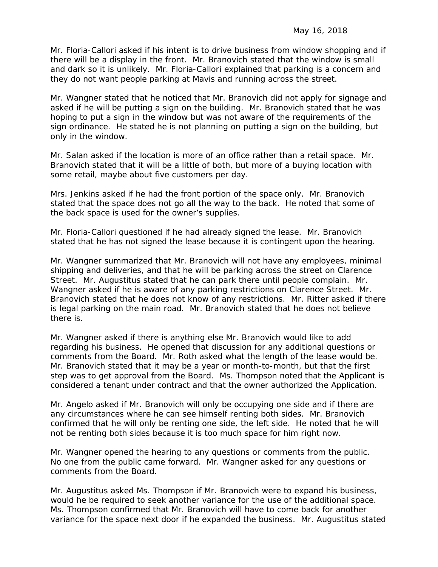Mr. Floria-Callori asked if his intent is to drive business from window shopping and if there will be a display in the front. Mr. Branovich stated that the window is small and dark so it is unlikely. Mr. Floria-Callori explained that parking is a concern and they do not want people parking at Mavis and running across the street.

Mr. Wangner stated that he noticed that Mr. Branovich did not apply for signage and asked if he will be putting a sign on the building. Mr. Branovich stated that he was hoping to put a sign in the window but was not aware of the requirements of the sign ordinance. He stated he is not planning on putting a sign on the building, but only in the window.

Mr. Salan asked if the location is more of an office rather than a retail space. Mr. Branovich stated that it will be a little of both, but more of a buying location with some retail, maybe about five customers per day.

Mrs. Jenkins asked if he had the front portion of the space only. Mr. Branovich stated that the space does not go all the way to the back. He noted that some of the back space is used for the owner's supplies.

Mr. Floria-Callori questioned if he had already signed the lease. Mr. Branovich stated that he has not signed the lease because it is contingent upon the hearing.

Mr. Wangner summarized that Mr. Branovich will not have any employees, minimal shipping and deliveries, and that he will be parking across the street on Clarence Street. Mr. Augustitus stated that he can park there until people complain. Mr. Wangner asked if he is aware of any parking restrictions on Clarence Street. Mr. Branovich stated that he does not know of any restrictions. Mr. Ritter asked if there is legal parking on the main road. Mr. Branovich stated that he does not believe there is.

Mr. Wangner asked if there is anything else Mr. Branovich would like to add regarding his business. He opened that discussion for any additional questions or comments from the Board. Mr. Roth asked what the length of the lease would be. Mr. Branovich stated that it may be a year or month-to-month, but that the first step was to get approval from the Board. Ms. Thompson noted that the Applicant is considered a tenant under contract and that the owner authorized the Application.

Mr. Angelo asked if Mr. Branovich will only be occupying one side and if there are any circumstances where he can see himself renting both sides. Mr. Branovich confirmed that he will only be renting one side, the left side. He noted that he will not be renting both sides because it is too much space for him right now.

Mr. Wangner opened the hearing to any questions or comments from the public. No one from the public came forward. Mr. Wangner asked for any questions or comments from the Board.

Mr. Augustitus asked Ms. Thompson if Mr. Branovich were to expand his business, would he be required to seek another variance for the use of the additional space. Ms. Thompson confirmed that Mr. Branovich will have to come back for another variance for the space next door if he expanded the business. Mr. Augustitus stated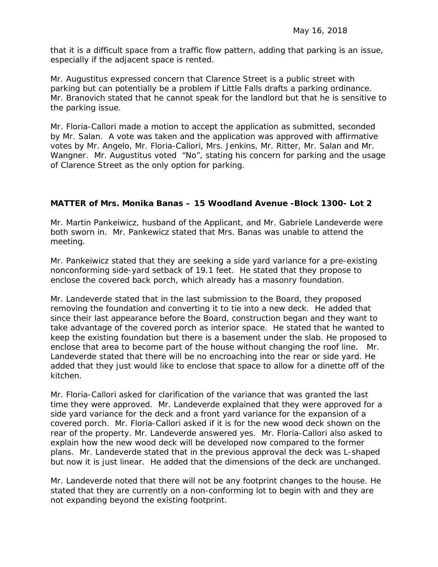that it is a difficult space from a traffic flow pattern, adding that parking is an issue, especially if the adjacent space is rented.

Mr. Augustitus expressed concern that Clarence Street is a public street with parking but can potentially be a problem if Little Falls drafts a parking ordinance. Mr. Branovich stated that he cannot speak for the landlord but that he is sensitive to the parking issue.

Mr. Floria-Callori made a motion to accept the application as submitted, seconded by Mr. Salan. A vote was taken and the application was approved with affirmative votes by Mr. Angelo, Mr. Floria-Callori, Mrs. Jenkins, Mr. Ritter, Mr. Salan and Mr. Wangner. Mr. Augustitus voted "No", stating his concern for parking and the usage of Clarence Street as the only option for parking.

#### **MATTER of Mrs. Monika Banas – 15 Woodland Avenue -Block 1300- Lot 2**

Mr. Martin Pankeiwicz, husband of the Applicant, and Mr. Gabriele Landeverde were both sworn in. Mr. Pankewicz stated that Mrs. Banas was unable to attend the meeting.

Mr. Pankeiwicz stated that they are seeking a side yard variance for a pre-existing nonconforming side-yard setback of 19.1 feet. He stated that they propose to enclose the covered back porch, which already has a masonry foundation.

Mr. Landeverde stated that in the last submission to the Board, they proposed removing the foundation and converting it to tie into a new deck. He added that since their last appearance before the Board, construction began and they want to take advantage of the covered porch as interior space. He stated that he wanted to keep the existing foundation but there is a basement under the slab. He proposed to enclose that area to become part of the house without changing the roof line. Mr. Landeverde stated that there will be no encroaching into the rear or side yard. He added that they just would like to enclose that space to allow for a dinette off of the kitchen.

Mr. Floria-Callori asked for clarification of the variance that was granted the last time they were approved. Mr. Landeverde explained that they were approved for a side yard variance for the deck and a front yard variance for the expansion of a covered porch. Mr. Floria-Callori asked if it is for the new wood deck shown on the rear of the property. Mr. Landeverde answered yes. Mr. Floria-Callori also asked to explain how the new wood deck will be developed now compared to the former plans. Mr. Landeverde stated that in the previous approval the deck was L-shaped but now it is just linear. He added that the dimensions of the deck are unchanged.

Mr. Landeverde noted that there will not be any footprint changes to the house. He stated that they are currently on a non-conforming lot to begin with and they are not expanding beyond the existing footprint.